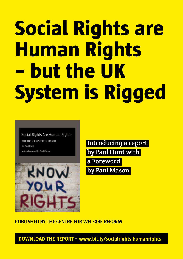# **Social Rights are Human Rights – but the UK System is Rigged**

#### Social Rights Are Human Rights

BUT THE UK SYSTEM IS RIGGED by Paul Hunt with a Foreword by Paul Mason

KNOW YOUR

 Introducing a report by Paul Hunt with a Foreword by Paul Mason

**PUBLISHED BY THE CENTRE FOR WELFARE REFORM**

**DOWNLOAD THE REPORT – www.bit.ly/socialrights-humanrights**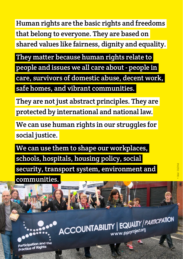Human rights are the basic rights and freedoms that belong to everyone. They are based on shared values like fairness, dignity and equality.

They matter because human rights relate to

people and issues we all care about - people in

care, survivors of domestic abuse, decent work,

safe homes, and vibrant communities.

 They are not just abstract principles. They are protected by international and national law.

 We can use human rights in our struggles for social justice.

We can use them to shape our workplaces,

schools, hospitals, housing policy, social

security, transport system, environment and

communities.



ACCOUNTABILITY | EQUALITY *| PARTICIP*ATION WWW.pprproject.org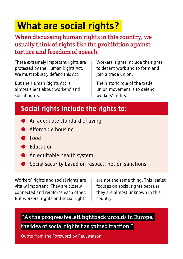# **What are social rights?**

### When discussing human rights in this country, we usually think of rights like the prohibition against torture and freedom of speech.

These extremely important rights are protected by the Human Rights Act. We must robustly defend this Act.

But the Human Rights Act is almost silent about workers' and social rights.

Workers' rights include the rights to decent work and to form and join a trade union.

The historic role of the trade union movement is to defend workers' rights.

## **Social rights include the rights to:**

- **.** An adequate standard of living
- **Affordable housing**
- ! Food
- **Education**
- **.** An equitable health system
- **.** Social security based on respect, not on sanctions.

Workers' rights and social rights are vitally important. They are closely connected and reinforce each other. But workers' rights and social rights are not the same thing. This leaflet focuses on social rights because they are almost unknown in this country.

## "As the progressive left fghtback unfolds in Europe, the idea of social rights has gained traction."

Quote from the Foreword by Paul Mason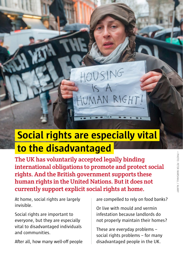# **Social rights are especially vital to the disadvantaged**

WMAN RIGHT

The UK has voluntarily accepted legally binding international obligations to promote and protect social rights. And the British government supports these human rights in the United Nations. But it does not currently support explicit social rights at home.

At home, social rights are largely invisible.

Social rights are important to everyone, but they are especially vital to disadvantaged individuals and communities.

After all, how many well-off people

are compelled to rely on food banks?

Or live with mould and vermin infestation because landlords do not properly maintain their homes?

These are everyday problems – social rights problems – for many disadvantaged people in the UK.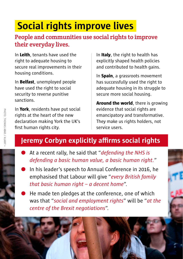## **Social rights improve lives**

## People and communities use social rights to improve their everyday lives.

In **Leith**, tenants have used the right to adequate housing to secure real improvements in their housing conditions.

In **Belfast**, unemployed people have used the right to social security to reverse punitive sanctions.

In **York**, residents have put social rights at the heart of the new declaration making York the UK's first human rights city.

In **Italy**, the right to health has explicitly shaped health policies and contributed to health gains.

In **Spain**, a grassroots movement has successfully used the right to adequate housing in its struggle to secure more social housing.

**Around the world**, there is growing evidence that social rights are emancipatory and transformative. They make us rights holders, not service users.

## **Jeremy Corbyn explicitly afrms social rights**

- ! At a recent rally, he said that "*defending the NHS is defending a basic human value, a basic human right.*"
- In his leader's speech to Annual Conference in 2016, he emphasised that Labour will give "*every British family that basic human right – a decent home*".
- He made ten pledges at the conference, one of which was that "*social and employment rights*" will be "*at the centre of the Brexit negotiations*".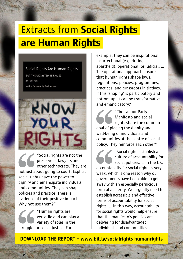# Extracts from **Social Rights are Human Rights**

Social Rights Are Human Rights

BUT THE UK SYSTEM IS RIGGED by Paul Hunt

with a Foreword by Paul Mason



"Social rights are not the preserve of lawyers and other technocrats. They are not just about going to court. Explicit social rights have the power to dignify and emancipate individuals and communities. They can shape policies and practice. There is evidence of their positive impact. Why not use them?"

"Human rights are versatile and can play a variety of roles in the struggle for social justice. For

example, they can be inspirational, insurrectional (e.g. during apartheid), operational, or judicial. … The operational approach ensures that human rights shape laws, regulations, policies, programmes, practices, and grassroots initiatives. If this 'shaping' is participatory and bottom-up, it can be transformative and emancipatory."

"The Labour Party Manifesto and social rights share the common goal of placing the dignity and well-being of individuals and communities at the centre of social policy. They reinforce each other."

"Social rights establish a culture of accountability for social policies. … In the UK, accountability for social rights is very weak, which is one reason why our governments have been able to get away with an especially pernicious form of austerity. We urgently need to establish accessible and efective forms of accountability for social rights. … In this way, accountability for social rights would help ensure that the manifesto's policies are delivering for disadvantaged individuals and communities."

**DOWNLOAD THE REPORT – www.bit.ly/socialrights-humanrights**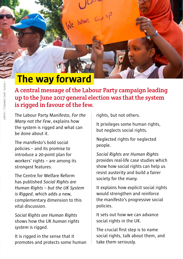## **The way forward**

A central message of the Labour Party campaign leading up to the June 2017 general election was that the system is rigged in favour of the few.

We Won't Give uf

The Labour Party Manifesto, *For the Many not the Few*, explains how the system is rigged and what can be done about it.

The manifesto's bold social policies – and its promise to introduce a 20-point plan for workers' rights – are among its strongest features.

The Centre for Welfare Reform has published *Social Rights are Human Rights – but the UK System is Rigged*, which adds a new, complementary dimension to this vital discussion.

*Social Rights are Human Rights*  shows how the UK *human rights system* is rigged.

It is rigged in the sense that it promotes and protects some human rights, but not others.

It privileges some human rights, but neglects social rights.

Neglected rights for neglected people.

*Social Rights are Human Rights*  provides real-life case studies which show how social rights can help us resist austerity and build a fairer society for the many.

It explains how explicit social rights would strengthen and reinforce the manifesto's progressive social policies.

It sets out how we can advance social rights in the UK.

The crucial first step is to name social rights, talk about them, and take them seriously.